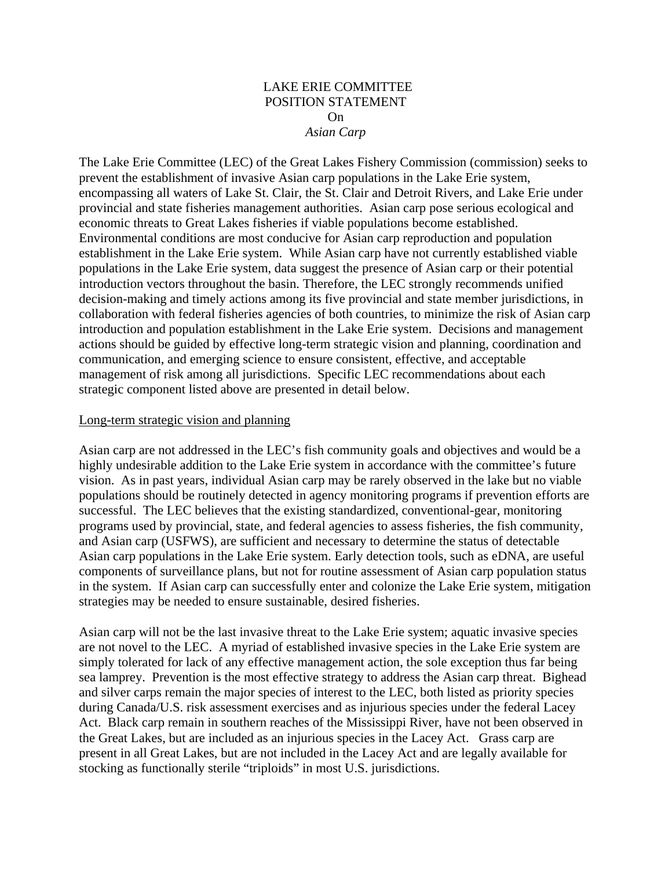## LAKE ERIE COMMITTEE POSITION STATEMENT On *Asian Carp*

The Lake Erie Committee (LEC) of the Great Lakes Fishery Commission (commission) seeks to prevent the establishment of invasive Asian carp populations in the Lake Erie system, encompassing all waters of Lake St. Clair, the St. Clair and Detroit Rivers, and Lake Erie under provincial and state fisheries management authorities. Asian carp pose serious ecological and economic threats to Great Lakes fisheries if viable populations become established. Environmental conditions are most conducive for Asian carp reproduction and population establishment in the Lake Erie system. While Asian carp have not currently established viable populations in the Lake Erie system, data suggest the presence of Asian carp or their potential introduction vectors throughout the basin. Therefore, the LEC strongly recommends unified decision-making and timely actions among its five provincial and state member jurisdictions, in collaboration with federal fisheries agencies of both countries, to minimize the risk of Asian carp introduction and population establishment in the Lake Erie system. Decisions and management actions should be guided by effective long-term strategic vision and planning, coordination and communication, and emerging science to ensure consistent, effective, and acceptable management of risk among all jurisdictions. Specific LEC recommendations about each strategic component listed above are presented in detail below.

## Long-term strategic vision and planning

Asian carp are not addressed in the LEC's fish community goals and objectives and would be a highly undesirable addition to the Lake Erie system in accordance with the committee's future vision. As in past years, individual Asian carp may be rarely observed in the lake but no viable populations should be routinely detected in agency monitoring programs if prevention efforts are successful. The LEC believes that the existing standardized, conventional-gear, monitoring programs used by provincial, state, and federal agencies to assess fisheries, the fish community, and Asian carp (USFWS), are sufficient and necessary to determine the status of detectable Asian carp populations in the Lake Erie system. Early detection tools, such as eDNA, are useful components of surveillance plans, but not for routine assessment of Asian carp population status in the system. If Asian carp can successfully enter and colonize the Lake Erie system, mitigation strategies may be needed to ensure sustainable, desired fisheries.

Asian carp will not be the last invasive threat to the Lake Erie system; aquatic invasive species are not novel to the LEC. A myriad of established invasive species in the Lake Erie system are simply tolerated for lack of any effective management action, the sole exception thus far being sea lamprey. Prevention is the most effective strategy to address the Asian carp threat. Bighead and silver carps remain the major species of interest to the LEC, both listed as priority species during Canada/U.S. risk assessment exercises and as injurious species under the federal Lacey Act. Black carp remain in southern reaches of the Mississippi River, have not been observed in the Great Lakes, but are included as an injurious species in the Lacey Act. Grass carp are present in all Great Lakes, but are not included in the Lacey Act and are legally available for stocking as functionally sterile "triploids" in most U.S. jurisdictions.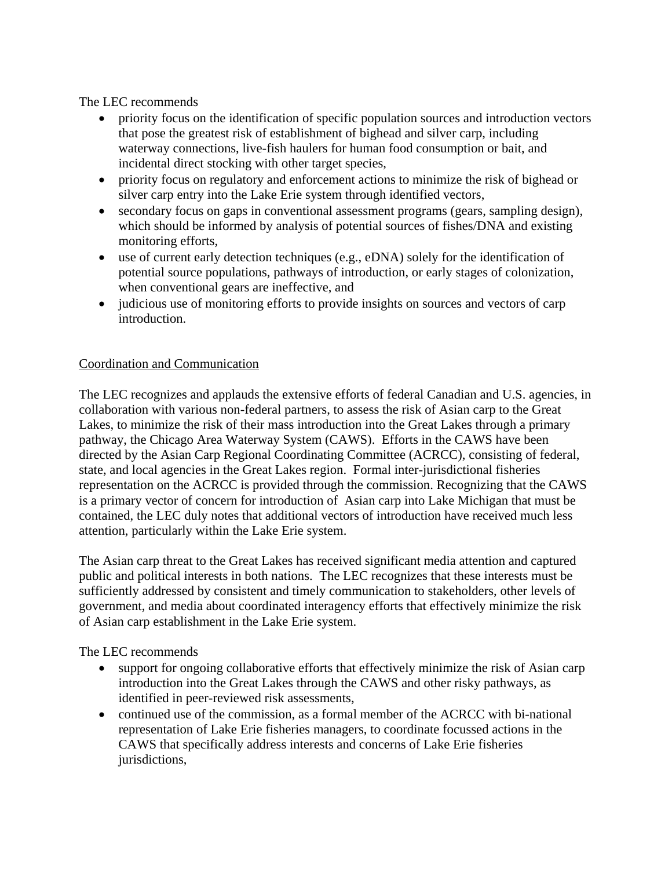The LEC recommends

- priority focus on the identification of specific population sources and introduction vectors that pose the greatest risk of establishment of bighead and silver carp, including waterway connections, live-fish haulers for human food consumption or bait, and incidental direct stocking with other target species,
- priority focus on regulatory and enforcement actions to minimize the risk of bighead or silver carp entry into the Lake Erie system through identified vectors,
- secondary focus on gaps in conventional assessment programs (gears, sampling design), which should be informed by analysis of potential sources of fishes/DNA and existing monitoring efforts,
- use of current early detection techniques (e.g., eDNA) solely for the identification of potential source populations, pathways of introduction, or early stages of colonization, when conventional gears are ineffective, and
- judicious use of monitoring efforts to provide insights on sources and vectors of carp introduction.

## Coordination and Communication

The LEC recognizes and applauds the extensive efforts of federal Canadian and U.S. agencies, in collaboration with various non-federal partners, to assess the risk of Asian carp to the Great Lakes, to minimize the risk of their mass introduction into the Great Lakes through a primary pathway, the Chicago Area Waterway System (CAWS). Efforts in the CAWS have been directed by the Asian Carp Regional Coordinating Committee (ACRCC), consisting of federal, state, and local agencies in the Great Lakes region. Formal inter-jurisdictional fisheries representation on the ACRCC is provided through the commission. Recognizing that the CAWS is a primary vector of concern for introduction of Asian carp into Lake Michigan that must be contained, the LEC duly notes that additional vectors of introduction have received much less attention, particularly within the Lake Erie system.

The Asian carp threat to the Great Lakes has received significant media attention and captured public and political interests in both nations. The LEC recognizes that these interests must be sufficiently addressed by consistent and timely communication to stakeholders, other levels of government, and media about coordinated interagency efforts that effectively minimize the risk of Asian carp establishment in the Lake Erie system.

The LEC recommends

- support for ongoing collaborative efforts that effectively minimize the risk of Asian carp introduction into the Great Lakes through the CAWS and other risky pathways, as identified in peer-reviewed risk assessments,
- continued use of the commission, as a formal member of the ACRCC with bi-national representation of Lake Erie fisheries managers, to coordinate focussed actions in the CAWS that specifically address interests and concerns of Lake Erie fisheries jurisdictions,